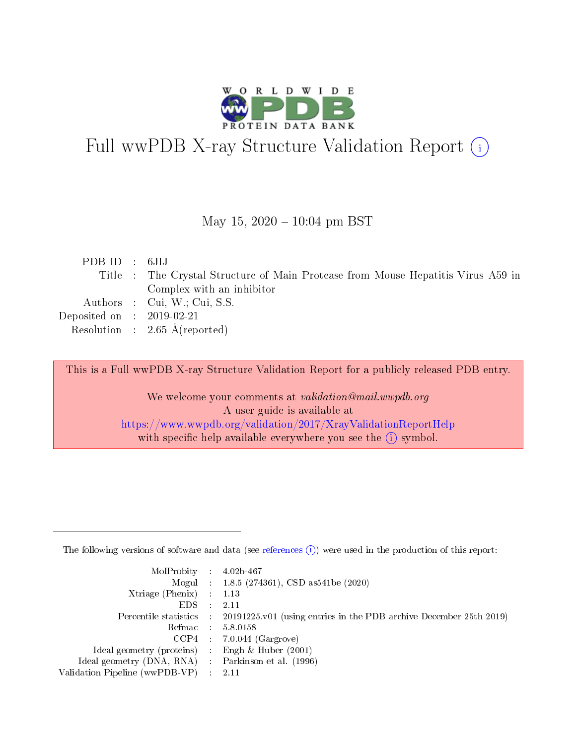

# Full wwPDB X-ray Structure Validation Report (i)

#### May 15,  $2020 - 10:04$  pm BST

| PDBID : 6JIJ                |                                                                                  |
|-----------------------------|----------------------------------------------------------------------------------|
|                             | Title : The Crystal Structure of Main Protease from Mouse Hepatitis Virus A59 in |
|                             | Complex with an inhibitor                                                        |
|                             | Authors : Cui, W.; Cui, S.S.                                                     |
| Deposited on : $2019-02-21$ |                                                                                  |
|                             | Resolution : $2.65 \text{ Å}$ (reported)                                         |
|                             |                                                                                  |

This is a Full wwPDB X-ray Structure Validation Report for a publicly released PDB entry.

We welcome your comments at validation@mail.wwpdb.org A user guide is available at <https://www.wwpdb.org/validation/2017/XrayValidationReportHelp> with specific help available everywhere you see the  $(i)$  symbol.

The following versions of software and data (see [references](https://www.wwpdb.org/validation/2017/XrayValidationReportHelp#references)  $(1)$ ) were used in the production of this report:

| $MolProbability$ : 4.02b-467                        |                                                                                            |
|-----------------------------------------------------|--------------------------------------------------------------------------------------------|
|                                                     | Mogul : 1.8.5 (274361), CSD as 541be (2020)                                                |
| Xtriage (Phenix) $: 1.13$                           |                                                                                            |
| EDS :                                               | -2.11                                                                                      |
|                                                     | Percentile statistics : 20191225.v01 (using entries in the PDB archive December 25th 2019) |
| Refmac 58.0158                                      |                                                                                            |
|                                                     | $CCP4$ 7.0.044 (Gargrove)                                                                  |
| Ideal geometry (proteins) : Engh $\&$ Huber (2001)  |                                                                                            |
| Ideal geometry (DNA, RNA) : Parkinson et al. (1996) |                                                                                            |
| Validation Pipeline (wwPDB-VP) : 2.11               |                                                                                            |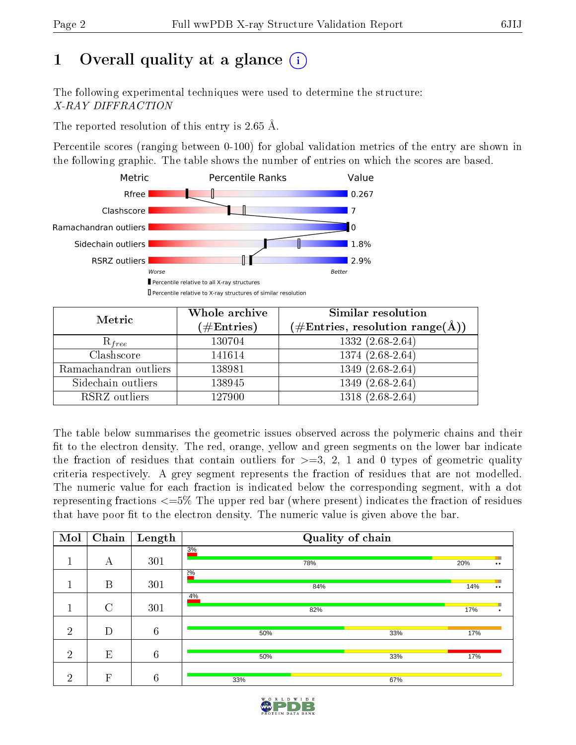# 1 [O](https://www.wwpdb.org/validation/2017/XrayValidationReportHelp#overall_quality)verall quality at a glance  $(i)$

The following experimental techniques were used to determine the structure: X-RAY DIFFRACTION

The reported resolution of this entry is 2.65 Å.

Percentile scores (ranging between 0-100) for global validation metrics of the entry are shown in the following graphic. The table shows the number of entries on which the scores are based.



| Metric                | Whole archive<br>$(\#\text{Entries})$ | Similar resolution<br>$(\#\text{Entries},\,\text{resolution}\,\,\text{range}(\textup{\AA}))$ |  |  |
|-----------------------|---------------------------------------|----------------------------------------------------------------------------------------------|--|--|
| $R_{free}$            | 130704                                | $1332(2.68-2.64)$                                                                            |  |  |
| Clashscore            | 141614                                | $1374(2.68-2.64)$                                                                            |  |  |
| Ramachandran outliers | 138981                                | $1349(2.68-2.64)$                                                                            |  |  |
| Sidechain outliers    | 138945                                | $1349(2.68-2.64)$                                                                            |  |  |
| RSRZ outliers         | 127900                                | $1318(2.68-2.64)$                                                                            |  |  |

The table below summarises the geometric issues observed across the polymeric chains and their fit to the electron density. The red, orange, yellow and green segments on the lower bar indicate the fraction of residues that contain outliers for  $>=3, 2, 1$  and 0 types of geometric quality criteria respectively. A grey segment represents the fraction of residues that are not modelled. The numeric value for each fraction is indicated below the corresponding segment, with a dot representing fractions  $\epsilon=5\%$  The upper red bar (where present) indicates the fraction of residues that have poor fit to the electron density. The numeric value is given above the bar.

| Mol            | Chain       | Length           | Quality of chain |     |     |                          |
|----------------|-------------|------------------|------------------|-----|-----|--------------------------|
|                | А           | 301              | 3%<br>78%        |     | 20% | $\bullet$ $\bullet$      |
|                | B           | 301              | $2\%$<br>84%     |     | 14% | ٠<br>$\bullet$ $\bullet$ |
|                | $\rm C$     | 301              | 4%<br>82%        |     | 17% | п<br>$\bullet$           |
| $\overline{2}$ | D           | $\sqrt{6}$       | 50%              | 33% | 17% |                          |
| $\overline{2}$ | E           | $\boldsymbol{6}$ | 50%              | 33% | 17% |                          |
| റ              | $\mathbf F$ | 6                | 33%              | 67% |     |                          |

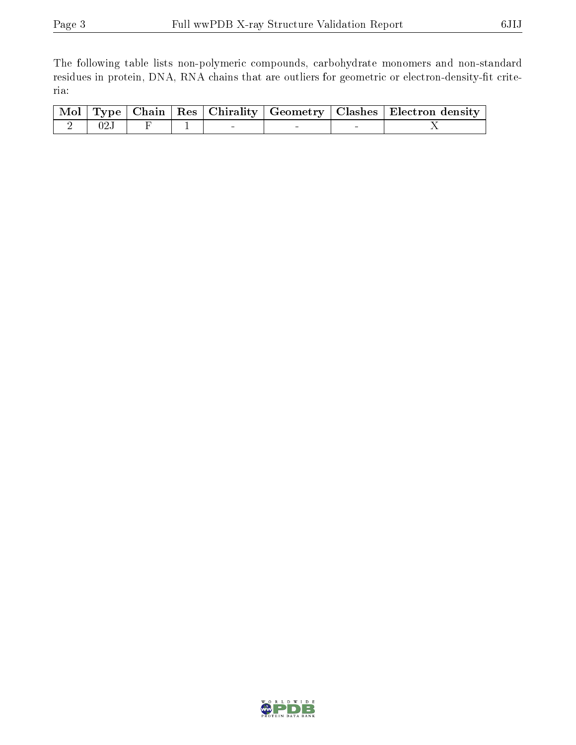The following table lists non-polymeric compounds, carbohydrate monomers and non-standard residues in protein, DNA, RNA chains that are outliers for geometric or electron-density-fit criteria:

|               |  |  | Mol   Type   Chain   Res   Chirality   Geometry   Clashes   Electron density |
|---------------|--|--|------------------------------------------------------------------------------|
| $2 \quad 02J$ |  |  |                                                                              |

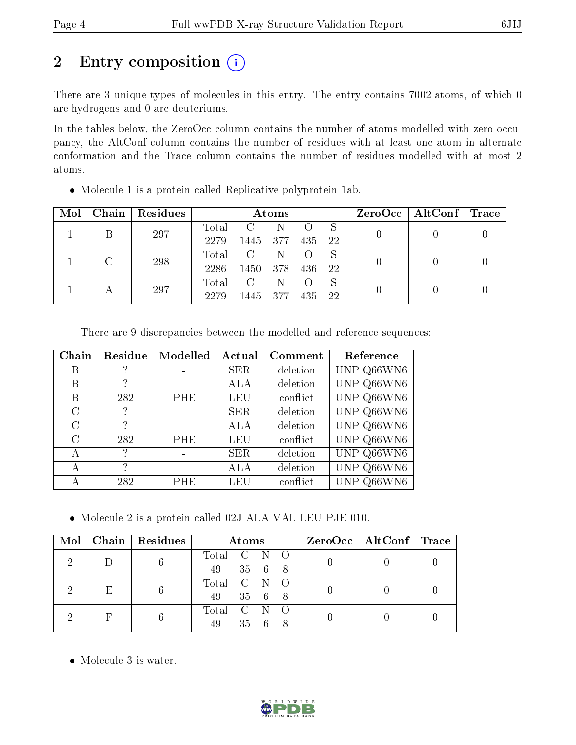# 2 Entry composition (i)

There are 3 unique types of molecules in this entry. The entry contains 7002 atoms, of which 0 are hydrogens and 0 are deuteriums.

In the tables below, the ZeroOcc column contains the number of atoms modelled with zero occupancy, the AltConf column contains the number of residues with at least one atom in alternate conformation and the Trace column contains the number of residues modelled with at most 2 atoms.

| Mol | Chain <sup>1</sup> | Residues |       | Atoms          |     |     | $ZeroOcc \   \$ AltConf | $\lceil \text{Trace} \rceil$ |  |
|-----|--------------------|----------|-------|----------------|-----|-----|-------------------------|------------------------------|--|
|     |                    | 297      | Total | $\mathcal{C}$  | N   |     | S                       |                              |  |
|     |                    |          | 2279  | 1445           | 377 | 435 | 22                      |                              |  |
|     |                    | 298      | Total | $\overline{C}$ | -N  |     | -S                      |                              |  |
|     |                    |          | 2286  | 1450           | 378 | 436 | 22                      |                              |  |
|     |                    |          | Total | $\mathcal{C}$  | N   |     | <sub>S</sub>            |                              |  |
|     | 297                | 2279     | 1445  | 377            | 435 | 22  |                         |                              |  |

Molecule 1 is a protein called Replicative polyprotein 1ab.

| There are 9 discrepancies between the modelled and reference sequences: |  |  |  |
|-------------------------------------------------------------------------|--|--|--|
|                                                                         |  |  |  |

| Chain         | Residue | Modelled   | Actual     | Comment  | Reference  |
|---------------|---------|------------|------------|----------|------------|
| Β             |         |            | <b>SER</b> | deletion | UNP Q66WN6 |
| В             | 2       |            | ALA        | deletion | UNP Q66WN6 |
| Β             | 282     | PHE        | <b>LEU</b> | conflict | UNP Q66WN6 |
| C             | ?       |            | <b>SER</b> | deletion | UNP Q66WN6 |
| $\mathcal{C}$ | ?       |            | ALA        | deletion | UNP Q66WN6 |
| $\rm C$       | 282     | <b>PHE</b> | LEU        | conflict | UNP Q66WN6 |
| А             | ?       |            | <b>SER</b> | deletion | UNP Q66WN6 |
| А             | ?       |            | ALA        | deletion | UNP Q66WN6 |
| А             | 282     | <b>PHE</b> | LEU        | conflict | UNP Q66WN6 |

Molecule 2 is a protein called 02J-ALA-VAL-LEU-PJE-010.

| $\text{Mol}$ |   | $\mid$ Chain $\mid$ Residues | <b>Atoms</b>                | $ZeroOcc \mid AltConf \mid Trace$ |  |
|--------------|---|------------------------------|-----------------------------|-----------------------------------|--|
|              |   |                              | Total C N O<br>49 35 6 8    |                                   |  |
|              | E |                              | Total C N O<br>35 6 8<br>49 |                                   |  |
|              |   |                              | Total C N O<br>35 6<br>49   |                                   |  |

• Molecule 3 is water.

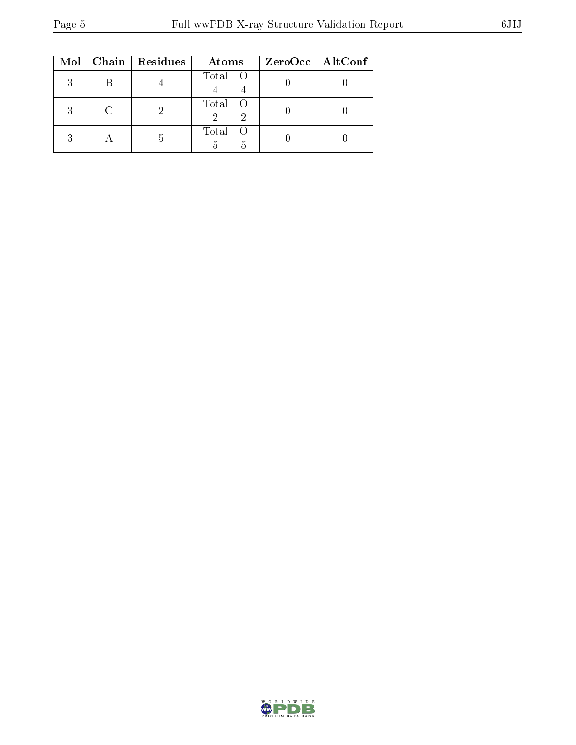|   | Mol   Chain   Residues | Atoms         | ZeroOcc   AltConf |
|---|------------------------|---------------|-------------------|
|   |                        | Total O       |                   |
| २ |                        | Total O       |                   |
|   |                        | Total O<br>h. |                   |

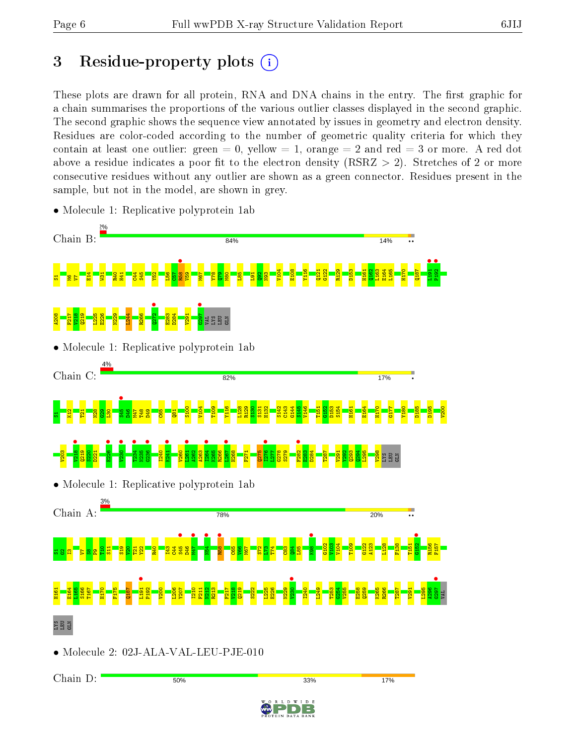Chain D:

50%

# 3 Residue-property plots  $(i)$

These plots are drawn for all protein, RNA and DNA chains in the entry. The first graphic for a chain summarises the proportions of the various outlier classes displayed in the second graphic. The second graphic shows the sequence view annotated by issues in geometry and electron density. Residues are color-coded according to the number of geometric quality criteria for which they contain at least one outlier: green  $= 0$ , yellow  $= 1$ , orange  $= 2$  and red  $= 3$  or more. A red dot above a residue indicates a poor fit to the electron density (RSRZ  $> 2$ ). Stretches of 2 or more consecutive residues without any outlier are shown as a green connector. Residues present in the sample, but not in the model, are shown in grey.



33%

D E

17%

• Molecule 1: Replicative polyprotein 1ab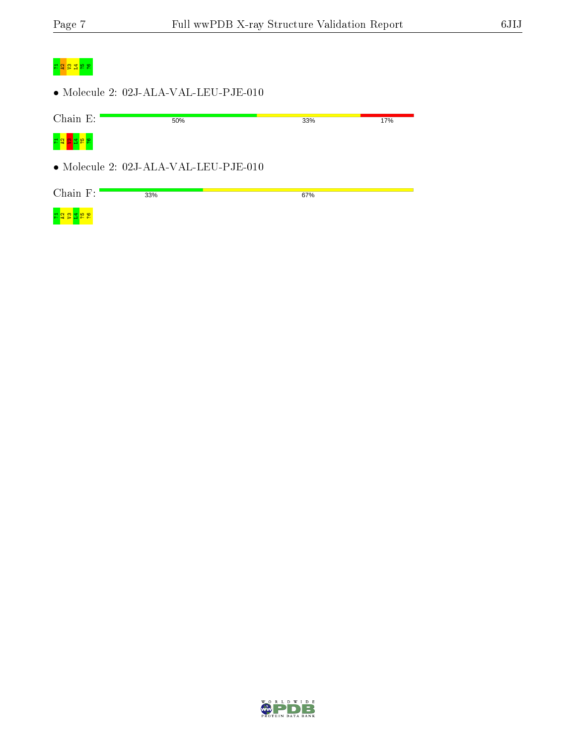## <mark>។ ក្នុង ន</mark>ន

 $\bullet$  Molecule 2: 02J-ALA-VAL-LEU-PJE-010

| Chain E:                                         | 50%                                   | 33% | 17% |
|--------------------------------------------------|---------------------------------------|-----|-----|
| $\frac{3}{2}$ $\frac{5}{4}$ $\frac{1}{2}$<br>공알통 |                                       |     |     |
|                                                  | • Molecule 2: 02J-ALA-VAL-LEU-PJE-010 |     |     |
| Chain $F$ :                                      | 33%                                   | 67% |     |
| 공유물                                              |                                       |     |     |

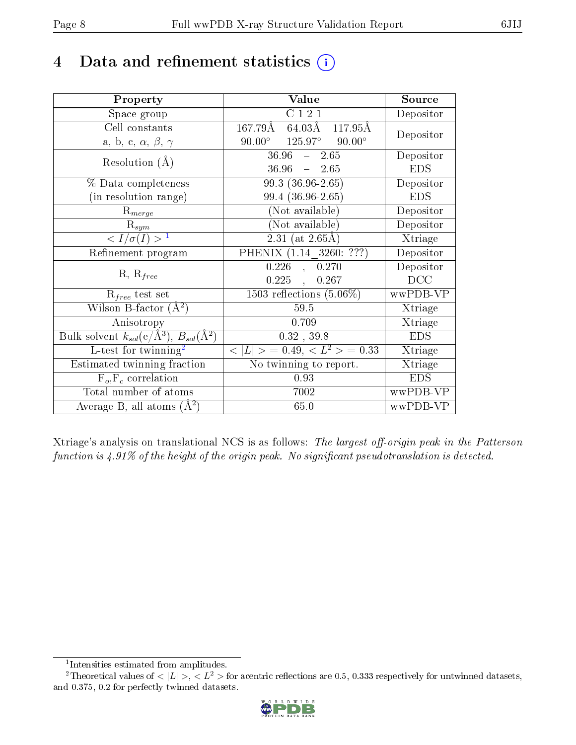# 4 Data and refinement statistics  $(i)$

| Property                                                         | Value                                      | Source     |
|------------------------------------------------------------------|--------------------------------------------|------------|
| Space group                                                      | C121                                       | Depositor  |
| Cell constants                                                   | 167.79Å<br>64.03Å<br>117.95Å               | Depositor  |
| a, b, c, $\alpha$ , $\beta$ , $\gamma$                           | $125.97^{\circ}$ 90.00°<br>$90.00^{\circ}$ |            |
| Resolution $(A)$                                                 | $36.96 - 2.65$                             | Depositor  |
|                                                                  | $36.96 = 2.65$                             | <b>EDS</b> |
| % Data completeness                                              | 99.3 (36.96-2.65)                          | Depositor  |
| (in resolution range)                                            | 99.4 (36.96-2.65)                          | <b>EDS</b> |
| $R_{merge}$                                                      | (Not available)                            | Depositor  |
| $\mathrm{R}_{sym}$                                               | (Not available)                            | Depositor  |
| $\langle I/\sigma(I) \rangle^{-1}$                               | 2.31 (at $2.65\text{\AA}$ )                | Xtriage    |
| Refinement program                                               | PHENIX (1.14 3260: ???)                    | Depositor  |
|                                                                  | , 0.270<br>0.226                           | Depositor  |
| $R, R_{free}$                                                    | $0.225$ ,<br>0.267                         | DCC        |
| $R_{free}$ test set                                              | $1503$ reflections $(5.06\%)$              | wwPDB-VP   |
| Wilson B-factor $(A^2)$                                          | 59.5                                       | Xtriage    |
| Anisotropy                                                       | 0.709                                      | Xtriage    |
| Bulk solvent $k_{sol}(\text{e}/\text{A}^3), B_{sol}(\text{A}^2)$ | $0.32$ , 39.8                              | <b>EDS</b> |
| $L$ -test for twinning <sup>2</sup>                              | $< L >$ = 0.49, $< L2$ > = 0.33            | Xtriage    |
| Estimated twinning fraction                                      | $\overline{\text{No}}$ twinning to report. | Xtriage    |
| $F_o, F_c$ correlation                                           | 0.93                                       | <b>EDS</b> |
| Total number of atoms                                            | 7002                                       | wwPDB-VP   |
| Average B, all atoms $(A^2)$                                     | 65.0                                       | wwPDB-VP   |

Xtriage's analysis on translational NCS is as follows: The largest off-origin peak in the Patterson function is  $4.91\%$  of the height of the origin peak. No significant pseudotranslation is detected.

<sup>&</sup>lt;sup>2</sup>Theoretical values of  $\langle |L| \rangle$ ,  $\langle L^2 \rangle$  for acentric reflections are 0.5, 0.333 respectively for untwinned datasets, and 0.375, 0.2 for perfectly twinned datasets.



<span id="page-7-1"></span><span id="page-7-0"></span><sup>1</sup> Intensities estimated from amplitudes.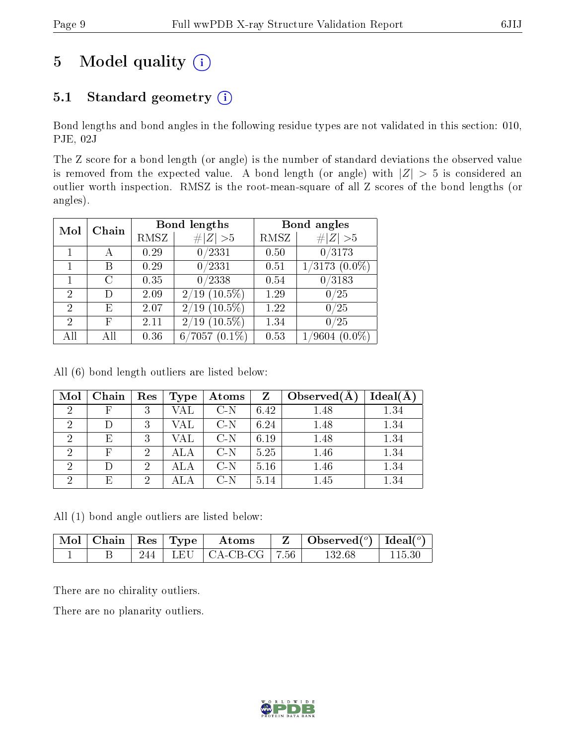# 5 Model quality  $(i)$

## 5.1 Standard geometry  $(i)$

Bond lengths and bond angles in the following residue types are not validated in this section: 010, PJE, 02J

The Z score for a bond length (or angle) is the number of standard deviations the observed value is removed from the expected value. A bond length (or angle) with  $|Z| > 5$  is considered an outlier worth inspection. RMSZ is the root-mean-square of all Z scores of the bond lengths (or angles).

| Mol            | Chain |      | <b>Bond lengths</b>               | Bond angles |                               |
|----------------|-------|------|-----------------------------------|-------------|-------------------------------|
|                |       | RMSZ | Z   > 5                           | RMSZ        | # $ Z  > 5$                   |
|                | А     | 0.29 | 0/2331                            | 0.50        | 0/3173                        |
|                | В     | 0.29 | 0/2331                            | 0.51        | $\overline{1/3173}$ $(0.0\%)$ |
|                | C     | 0.35 | 0/2338                            | 0.54        | /3183<br>0                    |
| $\overline{2}$ |       | 2.09 | $(10.5\%)$<br>2/19                | 1.29        | 0/25                          |
| 2              | F,    | 2.07 | $(10.5\%)$<br>2/19                | 1.22        | 0/25                          |
| 2              | F     | 2.11 | $(10.5\%)$<br>$^{\prime}19$<br>2/ | 1.34        | $^{\prime}25$                 |
|                |       | 0.36 | $(0.1\%)$<br>$^{\prime}7057$<br>6 | 0.53        | $(0.0\%)$<br>$^\prime 9604$   |

All (6) bond length outliers are listed below:

| Mol            | Chain | Res | Type         | Atoms | Z    | Observed $(A)$ | Ideal(A) |
|----------------|-------|-----|--------------|-------|------|----------------|----------|
| 2              |       | 2   | VAL          | $C-N$ | 6.42 | 1.48           | 1.34     |
| $\overline{2}$ |       | 9   | VAL          | $C-N$ | 6.24 | 1.48           | 1.34     |
| റ              | E     | 2   | VAL          | $C-N$ | 6.19 | 1.48           | 1.34     |
| 2              | F     | 2   |              | $C-N$ | 5.25 | 1.46           | 1.34     |
| റ              |       | 2   | $_{\rm ALA}$ | $C-N$ | 5.16 | 1.46           | 1.34     |
| റ              | E     | 9   |              | C-N   | 5.14 | 1.45           | $1.34\,$ |

All (1) bond angle outliers are listed below:

| $\mod$ | Chain   Res   Type |  | Atoms                       | $\perp$ Observed( <sup>o</sup> )   Ideal( <sup>o</sup> ) |  |
|--------|--------------------|--|-----------------------------|----------------------------------------------------------|--|
|        |                    |  | 244   LEU   CA-CB-CG   7.56 | 132 68                                                   |  |

There are no chirality outliers.

There are no planarity outliers.

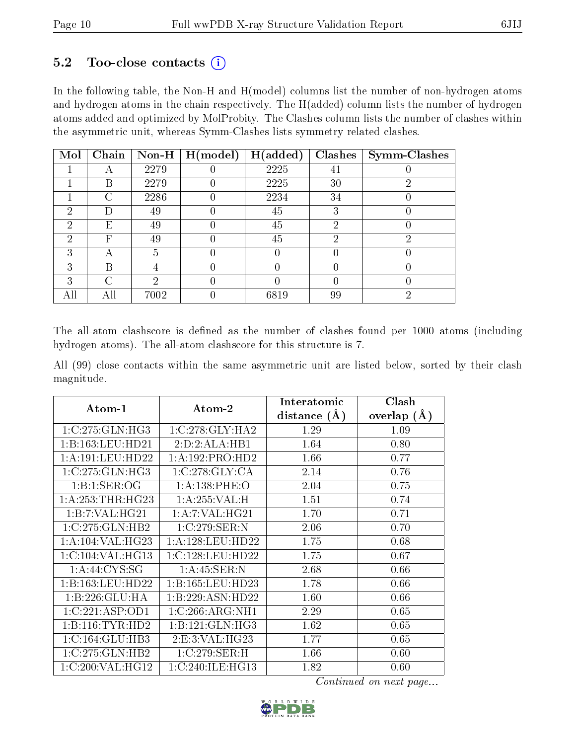#### 5.2 Too-close contacts  $(i)$

In the following table, the Non-H and H(model) columns list the number of non-hydrogen atoms and hydrogen atoms in the chain respectively. The H(added) column lists the number of hydrogen atoms added and optimized by MolProbity. The Clashes column lists the number of clashes within the asymmetric unit, whereas Symm-Clashes lists symmetry related clashes.

| Mol | Chain | Non-H $ $ | H (model) | H(added) | Clashes | <b>Symm-Clashes</b> |
|-----|-------|-----------|-----------|----------|---------|---------------------|
|     |       | 2279      |           | 2225     | 41      |                     |
|     | В     | 2279      |           | 2225     | 30      |                     |
|     | ⌒     | 2286      |           | 2234     | 34      |                     |
| 2   |       | 49        |           | 45       | 3       |                     |
| 2   | Ε     | 49        |           | 45       | 2       |                     |
| 2   | F     | 49        |           | 45       | റ       | റ                   |
| 3   | А     | 5         |           |          |         |                     |
| 3   | В     |           |           |          |         |                     |
| 3   | ⌒     | റ         |           |          |         |                     |
|     | Αll   | 7002      |           | 6819     | 99      | റ                   |

The all-atom clashscore is defined as the number of clashes found per 1000 atoms (including hydrogen atoms). The all-atom clashscore for this structure is 7.

All (99) close contacts within the same asymmetric unit are listed below, sorted by their clash magnitude.

| $Atom-1$             | Atom-2               | Interatomic    | Clash         |
|----------------------|----------------------|----------------|---------------|
|                      |                      | distance $(A)$ | overlap $(A)$ |
| 1:C:275:GLN:HG3      | 1:C:278:GLY:HA2      | 1.29           | 1.09          |
| 1:B:163:LEU:HD21     | 2:D:2:ALA:HB1        | 1.64           | 0.80          |
| 1: A:191:LEU:HD22    | 1:A:192:PRO:HD2      | 1.66           | 0.77          |
| 1:C:275:GLN:HG3      | 1:C:278:GLY:CA       | 2.14           | 0.76          |
| 1:B:1:SER:OG         | 1: A: 138: PHE: O    | 2.04           | 0.75          |
| 1: A: 253: THR: HG23 | 1: A:255: VAL:H      | 1.51           | 0.74          |
| 1:B:7:VAL:HG21       | 1: A: 7: VAL: HG21   | 1.70           | 0.71          |
| 1:C:275:GLN:HB2      | 1:C:279:SER:N        | 2.06           | 0.70          |
| 1:A:104:VAL:HG23     | 1: A: 128: LEU: HD22 | 1.75           | 0.68          |
| 1:C:104:VAL:HG13     | 1:C:128:LEU:HD22     | 1.75           | 0.67          |
| 1: A:44: CYS:SG      | 1:A:45:SER:N         | 2.68           | 0.66          |
| 1:B:163:LEU:HD22     | 1:B:165:LEU:HD23     | 1.78           | 0.66          |
| 1:B:226:GLU:HA       | 1:B:229:ASN:HD22     | 1.60           | 0.66          |
| 1:C:221:ASP:OD1      | 1:C:266:ARG:NH1      | 2.29           | 0.65          |
| 1:B:116:TYR:HD2      | 1:B:121:GLN:HG3      | 1.62           | 0.65          |
| 1:C:164:GLU:HB3      | 2: E:3: VAL:HG23     | 1.77           | 0.65          |
| 1:C:275:GLN:HB2      | 1:C:279:SER:H        | 1.66           | 0.60          |
| 1:C:200:VAL:HG12     | 1:C:240:ILE:HG13     | 1.82           | 0.60          |

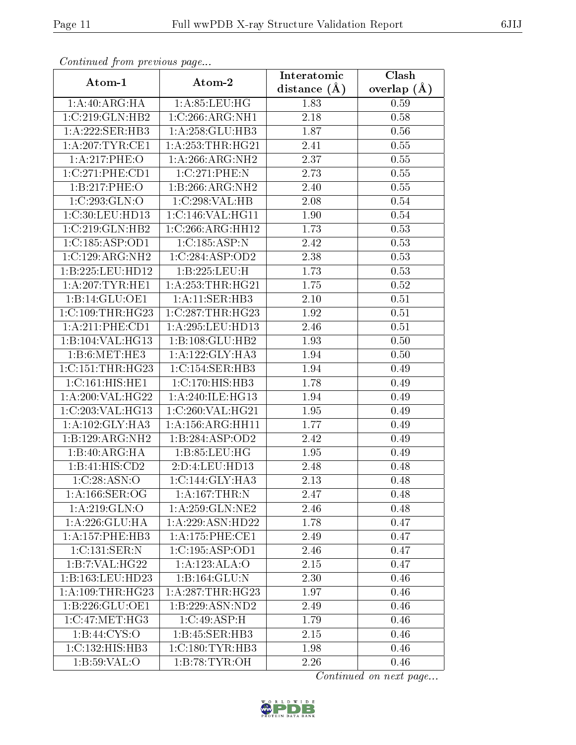| Continuea from previous page |                              | Interatomic       | Clash         |
|------------------------------|------------------------------|-------------------|---------------|
| Atom-1                       | Atom-2                       | distance $(A)$    | overlap $(A)$ |
| 1:A:40:ARG:HA                | 1: A:85:LEU:HG               | 1.83              | 0.59          |
| 1:C:219:GLN:HB2              | 1:C:266:ARG:NH1              | $\overline{2.18}$ | 0.58          |
| 1: A:222: SER:HB3            | 1:A:258:GLU:HB3              | 1.87              | 0.56          |
| 1: A:207:TYR:CE1             | 1: A: 253: THR: HG21         | 2.41              | 0.55          |
| 1:A:217:PHE:O                | $1:A:266:ARG:\overline{NH2}$ | 2.37              | 0.55          |
| 1:C:271:PHE:CD1              | 1:C:271:PHE:N                | 2.73              | 0.55          |
| 1:B:217:PHE:O                | 1:B:266:ARG:NH2              | 2.40              | 0.55          |
| 1:C:293:GLN:O                | 1:C:298:VAL:HB               | 2.08              | 0.54          |
| 1:C:30:LEU:HD13              | 1:C:146:VAL:HG11             | 1.90              | 0.54          |
| 1:C:219:GLN:HB2              | 1:C:266:ARG:HH12             | 1.73              | 0.53          |
| 1:C:185:ASP:OD1              | 1:C:185:ASP:N                | 2.42              | 0.53          |
| 1:C:129:ARG:NH2              | 1:C:284:ASP:OD2              | 2.38              | 0.53          |
| 1:B:225:LEU:HD12             | 1:B:225:LEU:H                | 1.73              | 0.53          |
| 1: A:207:TYR:HE1             | 1: A: 253: THR: HG21         | 1.75              | 0.52          |
| 1:B:14:GLU:OE1               | 1:A:11:SER:HB3               | 2.10              | 0.51          |
| 1:C:109:THR:HG23             | 1:C:287:THR:HG23             | 1.92              | 0.51          |
| 1:A:211:PHE:CD1              | 1:A:295:LEU:HD13             | 2.46              | 0.51          |
| 1:B:104:VAL:HG13             | 1:B:108:GLU:HB2              | 1.93              | 0.50          |
| 1:B:6:MET:HE3                | 1:A:122:GLY:HA3              | 1.94              | 0.50          |
| 1:C:151:THR:HG23             | 1: C: 154: SER: HB3          | 1.94              | 0.49          |
| 1:C:161:HIS:HE1              | 1: C: 170: HIS: HB3          | $\overline{1}.78$ | 0.49          |
| 1:A:200:VAL:HG22             | 1:A:240:ILE:HG13             | 1.94              | 0.49          |
| 1:C:203:VAL:HG13             | 1:C:260:VAL:HG21             | 1.95              | 0.49          |
| 1: A: 102: GLY: HA3          | 1: A: 156: ARG: HH11         | 1.77              | 0.49          |
| 1:B:129:ARG:NH2              | 1:B:284:ASP:OD2              | 2.42              | 0.49          |
| $1:B:40:ARG:\overline{HA}$   | 1: B: 85: LEU: HG            | 1.95              | 0.49          |
| 1:B:41:HIS:CD2               | 2:D:4:LEU:HD13               | 2.48              | 0.48          |
| 1:C:28:ASN:O                 | 1:C:144:GLY:HA3              | 2.13              | 0.48          |
| 1: A:166: SER:OG             | $1:A:167$ : THR: N           | 2.47              | 0.48          |
| 1:A:219:GLN:O                | 1: A:259: GLN: NE2           | 2.46              | 0.48          |
| 1:A:226:GLU:HA               | 1:A:229:ASN:HD22             | 1.78              | 0.47          |
| 1: A: 157: PHE: HB3          | 1: A:175: PHE:CE1            | 2.49              | 0.47          |
| 1:C:131:SER:N                | 1:C:195:ASP:OD1              | 2.46              | 0.47          |
| 1:B:7:VAL:HG22               | 1:A:123:ALA:O                | 2.15              | 0.47          |
| 1:B:163:LEU:HD23             | 1:B:164:GLU:N                | 2.30              | 0.46          |
| 1: A:109:THR:HG23            | 1: A:287:THR:HG23            | 1.97              | 0.46          |
| 1:B:226:GLU:OE1              | 1:B:229:ASN:ND2              | 2.49              | 0.46          |
| 1:C:47:MET:HG3               | 1:C:49:ASP:H                 | 1.79              | 0.46          |
| 1: B:44: CYS:O               | 1:B:45:SER:HB3               | 2.15              | 0.46          |
| $1:C:132:HI\overline{S:HB3}$ | 1:C:180:TYR:HB3              | 1.98              | 0.46          |
| 1: B:59: VAL:O               | 1:B:78:TYR:OH                | 2.26              | 0.46          |

Continued from previous page.

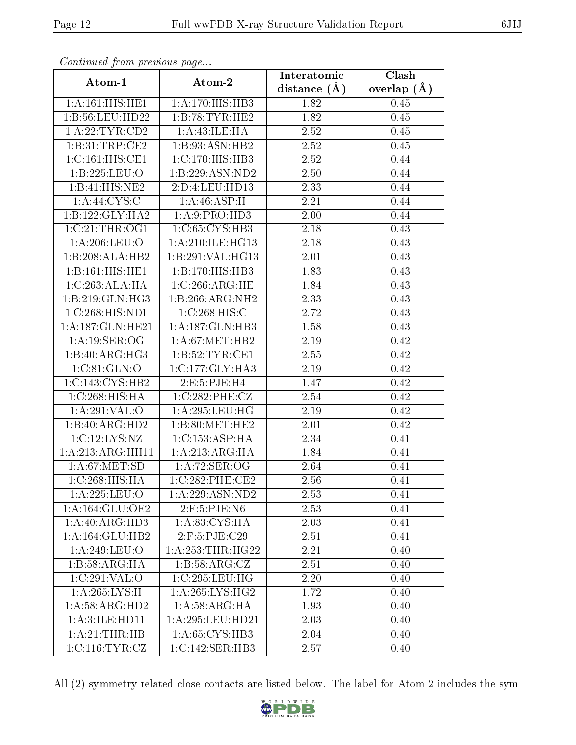| сонинией јтот ртеvиоиз раде |                      | Interatomic       | Clash         |  |
|-----------------------------|----------------------|-------------------|---------------|--|
| Atom-1                      | Atom-2               | distance $(A)$    | overlap $(A)$ |  |
| 1:A:161:HIS:HE1             | 1:A:170:HIS:HB3      | 1.82              | 0.45          |  |
| 1:B:56:LEU:HD22             | 1:B:78:TYR:HE2       | $\overline{1.82}$ | $0.45\,$      |  |
| 1: A:22:TYR:CD2             | 1:A:43:ILE:HA        | 2.52              | 0.45          |  |
| 1:B:31:TRP:CE2              | 1:B:93:ASN:HB2       | 2.52              | 0.45          |  |
| 1:C:161:HIS:CE1             | 1:C:170:HIS:HB3      | 2.52              | 0.44          |  |
| 1:B:225:LEU:O               | 1:B:229:ASN:ND2      | 2.50              | 0.44          |  |
| 1:B:41:HIS:NE2              | 2:D:4:LEU:HD13       | 2.33              | 0.44          |  |
| 1: A:44: CYS:C              | 1: A:46: ASP:H       | 2.21              | 0.44          |  |
| 1:B:122:GLY:HA2             | 1:A:9:PRO:HD3        | 2.00              | 0.44          |  |
| 1:C:21:THR:OG1              | 1:C:65:CYS:HB3       | 2.18              | 0.43          |  |
| 1: A:206:LEU:O              | 1:A:210:ILE:HG13     | 2.18              | 0.43          |  |
| 1:B:208:ALA:HB2             | 1:B:291:VAL:HG13     | 2.01              | 0.43          |  |
| 1:B:161:HIS:HE1             | 1:B:170:HIS:HB3      | 1.83              | 0.43          |  |
| 1:C:263:ALA:HA              | 1:C:266:ARG:HE       | 1.84              | 0.43          |  |
| 1:B:219:GLN:HG3             | 1:B:266:ARG:NH2      | 2.33              | 0.43          |  |
| 1:C:268:HIS:ND1             | 1:C:268:HIS:C        | 2.72              | 0.43          |  |
| 1:A:187:GLN:HE21            | 1:A:187:GLN:HB3      | 1.58              | 0.43          |  |
| 1:A:19:SER:OG               | 1: A:67: MET:HB2     | 2.19              | 0.42          |  |
| 1:B:40:ARG:HG3              | 1:B:52:TYR:CE1       | 2.55              | 0.42          |  |
| 1:C:81:GLN:O                | 1:C:177:GLY:HA3      | 2.19              | 0.42          |  |
| 1:C:143:CYS:HB2             | 2:E:5:PJE:H4         | $\overline{1}.47$ | 0.42          |  |
| 1:C:268:HIS:HA              | 1:C:282:PHE:CZ       | 2.54              | 0.42          |  |
| 1:A:291:VAL:O               | 1: A:295:LEU:HG      | 2.19              | 0.42          |  |
| 1:B:40:ARG:HD2              | 1:B:80:MET:HE2       | 2.01              | 0.42          |  |
| 1:C:12:LYS:NZ               | 1: C: 153: ASP:HA    | 2.34              | 0.41          |  |
| 1:A:213:ARG:HH11            | 1:A:213:ARG:HA       | 1.84              | 0.41          |  |
| 1: A:67: MET:SD             | 1:A:72:SER:OG        | 2.64              | 0.41          |  |
| 1:C:268:HIS:HA              | 1:C:282:PHE:CE2      | 2.56              | 0.41          |  |
| 1: A:225:LEU:O              | 1:A:229:ASN:ND2      | 2.53              | 0.41          |  |
| 1: A: 164: GLU: OE2         | $2:$ F:5:PJE:N6      | 2.53              | 0.41          |  |
| 1: A:40: ARG:HD3            | 1: A:83:CYS:HA       | 2.03              | 0.41          |  |
| 1:A:164:GLU:HB2             | $2:$ F:5:PJE:C29     | 2.51              | 0.41          |  |
| 1:A:249:LEU:O               | 1: A: 253: THR: HG22 | 2.21              | 0.40          |  |
| 1:B:58:ARG:HA               | 1:B:58:ARG:CZ        | 2.51              | 0.40          |  |
| 1:C:291:VAL:O               | 1:C:295:LEU:HG       | 2.20              | 0.40          |  |
| 1:A:265:LYS:H               | 1:A:265:LYS:HG2      | 1.72              | 0.40          |  |
| 1: A:58: ARG:HD2            | 1: A:58: ARG: HA     | 1.93              | 0.40          |  |
| 1: A:3: ILE: HD11           | 1:A:295:LEU:HD21     | 2.03              | 0.40          |  |
| 1: A:21:THR:HB              | 1:A:65:CYS:HB3       | 2.04              | 0.40          |  |
| 1:C:116:TYR:CZ              | 1:C:142:SER:HB3      | 2.57              | 0.40          |  |

Continued from previous page.

All (2) symmetry-related close contacts are listed below. The label for Atom-2 includes the sym-

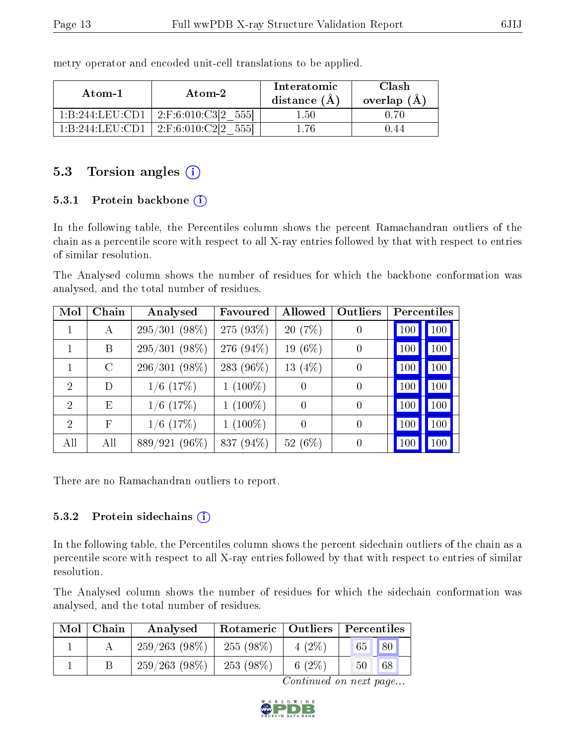| Atom-1          | Atom-2                | Interatomic<br>distance $(A)$ | Clash<br>overlap (Å |
|-----------------|-----------------------|-------------------------------|---------------------|
| 1:B:244:LEU:CD1 | 2:F:6:010:C3[2<br>555 | -50                           |                     |
| 1 B 244 LEU CD1 | $-2:$ F:6:010:C2l2    | .76                           |                     |

metry operator and encoded unit-cell translations to be applied.

## 5.3 Torsion angles (i)

#### 5.3.1 Protein backbone (i)

In the following table, the Percentiles column shows the percent Ramachandran outliers of the chain as a percentile score with respect to all X-ray entries followed by that with respect to entries of similar resolution.

The Analysed column shows the number of residues for which the backbone conformation was analysed, and the total number of residues.

| Mol            | Chain      | Analysed        | Favoured   | Allowed          | Outliers       | Percentiles |  |
|----------------|------------|-----------------|------------|------------------|----------------|-------------|--|
| 1              | А          | $295/301(98\%)$ | 275 (93%)  | 20 (7%)          | $\overline{0}$ | 100<br>100  |  |
|                | B          | $295/301(98\%)$ | 276 (94%)  | 19 (6%)          | $\overline{0}$ | 100<br>100  |  |
|                | $\rm C$    | $296/301(98\%)$ | 283 (96%)  | 13 $(4%)$        | $\overline{0}$ | 100<br>100  |  |
| $\overline{2}$ | D          | $1/6$ $(17%)$   | $1(100\%)$ | $\left( \right)$ | $\overline{0}$ | 100<br>100  |  |
| $\overline{2}$ | E          | $1/6$ (17%)     | $1(100\%)$ | 0                | $\overline{0}$ | 100<br>100  |  |
| $\overline{2}$ | $_{\rm F}$ | $1/6$ (17%)     | $1(100\%)$ | 0                | $\overline{0}$ | 100<br>100  |  |
| All            | All        | 889/921 (96%)   | 837 (94%)  | 52 $(6\%)$       | $\overline{0}$ | 100<br>100  |  |

There are no Ramachandran outliers to report.

#### 5.3.2 Protein sidechains  $(i)$

In the following table, the Percentiles column shows the percent sidechain outliers of the chain as a percentile score with respect to all X-ray entries followed by that with respect to entries of similar resolution.

The Analysed column shows the number of residues for which the sidechain conformation was analysed, and the total number of residues.

| Mol | ⊤ Chain | Rotameric   Outliers   Percentiles<br>Analysed |             |           |          |
|-----|---------|------------------------------------------------|-------------|-----------|----------|
|     |         | $259/263(98\%)$                                | $255(98\%)$ | $4(2\%)$  | 65 80    |
|     |         | $259/263(98\%)$                                | $253(98\%)$ | 6 $(2\%)$ | 68<br>50 |

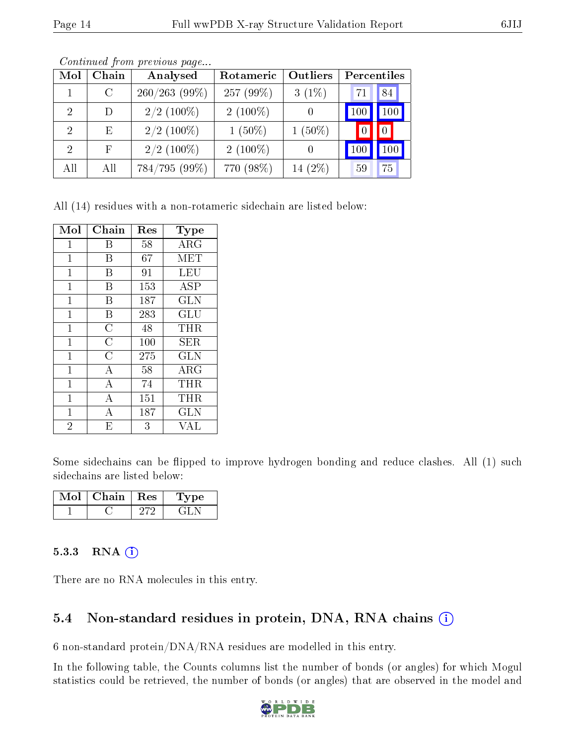| Mol            | Chain         | Analysed        | Rotameric    | Outliers | Percentiles |     |
|----------------|---------------|-----------------|--------------|----------|-------------|-----|
|                | $\mathcal{C}$ | $260/263$ (99%) | 257 $(99\%)$ | $3(1\%)$ | 71          | 84  |
| $\mathcal{P}$  | D             | $2/2$ (100%)    | $2(100\%)$   |          | 100         | 100 |
| $\mathcal{D}$  | E             | $2/2$ (100%)    | $1(50\%)$    | $(50\%)$ |             |     |
| $\overline{2}$ | $\mathbf{F}$  | $2/2$ (100\%)   | $2(100\%)$   |          | $100\,$     | 100 |
| All            | All           | 784/795 (99%)   | 770 (98%)    | 14 (2%)  | 59          | 75  |

Continued from previous page...

All (14) residues with a non-rotameric sidechain are listed below:

| Mol            | Chain              | Res | Type       |
|----------------|--------------------|-----|------------|
| $\mathbf 1$    | Β                  | 58  | ARG        |
| $\mathbf 1$    | В                  | 67  | MET        |
| 1              | В                  | 91  | LEU        |
| 1              | B                  | 153 | ASP        |
| 1              | В                  | 187 | <b>GLN</b> |
| $\mathbf{1}$   | B                  | 283 | GLU        |
| $\mathbf 1$    | $\overline{\rm C}$ | 48  | THR        |
| $\mathbf{1}$   | $\overline{C}$     | 100 | SER        |
| $\mathbf 1$    | $\overline{\rm C}$ | 275 | <b>GLN</b> |
| $\mathbf{1}$   | $\overline{A}$     | 58  | $\rm{ARG}$ |
| $\mathbf 1$    | А                  | 74  | THR        |
| $\mathbf 1$    | $\overline{A}$     | 151 | THR        |
| $\mathbf 1$    | А                  | 187 | GLN        |
| $\overline{2}$ | E                  | 3   | VAL        |

Some sidechains can be flipped to improve hydrogen bonding and reduce clashes. All (1) such sidechains are listed below:

| Mol | Chain | $\operatorname{Res}$ | Type |
|-----|-------|----------------------|------|
|     |       |                      |      |

#### 5.3.3 RNA (i)

There are no RNA molecules in this entry.

## 5.4 Non-standard residues in protein, DNA, RNA chains  $(i)$

6 non-standard protein/DNA/RNA residues are modelled in this entry.

In the following table, the Counts columns list the number of bonds (or angles) for which Mogul statistics could be retrieved, the number of bonds (or angles) that are observed in the model and

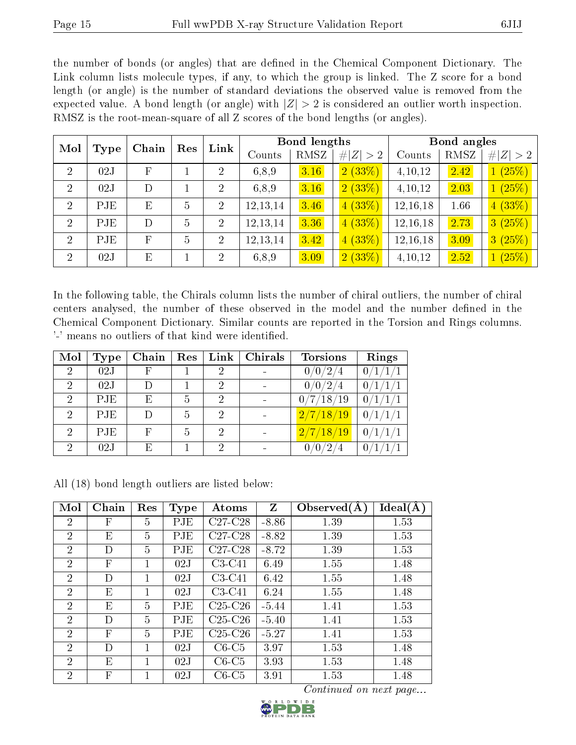the number of bonds (or angles) that are defined in the Chemical Component Dictionary. The Link column lists molecule types, if any, to which the group is linked. The Z score for a bond length (or angle) is the number of standard deviations the observed value is removed from the expected value. A bond length (or angle) with  $|Z| > 2$  is considered an outlier worth inspection. RMSZ is the root-mean-square of all Z scores of the bond lengths (or angles).

| Mol            |      | Link<br>Chain<br>Res |   |                |            | <b>Bond lengths</b> |         |             | Bond angles |        |             |
|----------------|------|----------------------|---|----------------|------------|---------------------|---------|-------------|-------------|--------|-------------|
|                | Type |                      |   |                |            | Counts              | RMSZ    | # $ Z  > 2$ | Counts      | RMSZ   | # $ Z  > 2$ |
| $\overline{2}$ | 02J  | F                    |   | $\overline{2}$ | 6,8,9      | 3.16                | 2(33%)  | 4,10,12     | 2.42        | 1(25%) |             |
| $\overline{2}$ | 02J  | D                    |   | $\overline{2}$ | 6,8,9      | 3.16                | 2(33%)  | 4,10,12     | 2.03        | 1(25%) |             |
| 2              | PJE  | E                    | 5 | $\overline{2}$ | 12, 13, 14 | 3.46                | 4(33%)  | 12,16,18    | 1.66        | 4(33%) |             |
| 2              | PJE  | D                    | 5 | $\overline{2}$ | 12, 13, 14 | 3.36                | 4(33%)  | 12,16,18    | 2.73        | 3(25%) |             |
| $\overline{2}$ | PJE  | $\mathbf F$          | 5 | $\overline{2}$ | 12, 13, 14 | 3.42                | 4(33%)  | 12,16,18    | 3.09        | 3(25%) |             |
| $\overline{2}$ | 02J  | E                    |   | $\overline{2}$ | 6,8,9      | 3.09                | (2(33%) | 4,10,12     | 2.52        | 1(25%) |             |

In the following table, the Chirals column lists the number of chiral outliers, the number of chiral centers analysed, the number of these observed in the model and the number defined in the Chemical Component Dictionary. Similar counts are reported in the Torsion and Rings columns. '-' means no outliers of that kind were identified.

| Mol            | <b>Type</b> | Chain        | Res            | $\mathbf{Link}$ | Chirals | <b>Torsions</b>                    | Rings          |
|----------------|-------------|--------------|----------------|-----------------|---------|------------------------------------|----------------|
| $\overline{2}$ | 02J         | F            |                | 2               |         | 0/0/2/4                            | 0/1/1/1        |
| $\overline{2}$ | 02J         |              |                | 2               |         | 0/0/2/4                            | 0/1/1/1        |
| $\overline{2}$ | PJE         | Ε            |                | 2               |         | 0/7/18/19                          | 0/1/1/1        |
| $\overline{2}$ | PJE         | D            | 5              | 2               |         | 2/7/18/19                          | 0/1/1/1        |
| $\overline{2}$ | PJE         | $\mathbf{F}$ | $\overline{5}$ | 2               |         | $\left  \frac{2}{7}/18/19 \right $ | 0/1/1/1        |
| $\mathcal{D}$  | 02J         | Ε            |                | $\mathcal{D}$   |         | 0/0/2                              | 0 <sub>1</sub> |

All (18) bond length outliers are listed below:

| Mol            | Chain | Res | <b>Type</b> | Atoms     | $\mathbf{Z}$ | Observed $(A)$ | Ideal(A) |
|----------------|-------|-----|-------------|-----------|--------------|----------------|----------|
| $\overline{2}$ | F     | 5   | PJE         | $C27-C28$ | $-8.86$      | 1.39           | 1.53     |
| $\overline{2}$ | E     | 5   | PJE         | $C27-C28$ | $-8.82$      | 1.39           | 1.53     |
| $\overline{2}$ | D     | 5   | PJE         | $C27-C28$ | $-8.72$      | 1.39           | 1.53     |
| $\overline{2}$ | F     | 1   | 02J         | $C3-C41$  | 6.49         | 1.55           | 1.48     |
| $\overline{2}$ | D     |     | 02J         | $C3-C41$  | 6.42         | 1.55           | 1.48     |
| $\overline{2}$ | Ε     |     | 02J         | $C3-C41$  | 6.24         | 1.55           | 1.48     |
| $\overline{2}$ | Ε     | 5   | PJE         | $C25-C26$ | $-5.44$      | 1.41           | 1.53     |
| $\overline{2}$ | D     | 5   | PJE         | $C25-C26$ | $-5.40$      | 1.41           | 1.53     |
| $\overline{2}$ | F     | 5   | PJE         | $C25-C26$ | $-5.27$      | 1.41           | 1.53     |
| $\overline{2}$ | D     | 1   | 02J         | $C6-C5$   | 3.97         | 1.53           | 1.48     |
| $\overline{2}$ | Е     |     | 02J         | $C6-C5$   | 3.93         | 1.53           | 1.48     |
| $\overline{2}$ | F     | 1   | 02J         | $C6-C5$   | 3.91         | 1.53           | 1.48     |

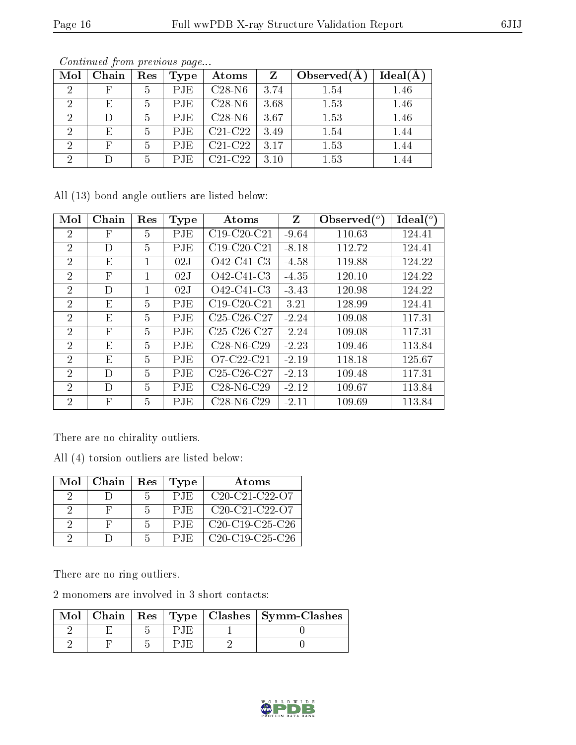|     | Continued from previous page |  |                        |                                 |         |             |                     |  |  |
|-----|------------------------------|--|------------------------|---------------------------------|---------|-------------|---------------------|--|--|
| Mol | Chain                        |  | $\mid$ Res $\mid$ Type | Atoms                           | $Z_{-}$ | Observed(A) | $\text{Ideal}(\AA)$ |  |  |
|     |                              |  | PJE.                   | $C28-N6$                        | 3.74    | 1.54        | 1.46                |  |  |
|     | F.                           |  | PJE.                   | $C28-N6$                        | 3.68    | 1.53        | 1.46                |  |  |
|     |                              |  | P.IE                   | C <sub>28</sub> -N <sub>6</sub> | 3.67    | 1 53        |                     |  |  |

All (13) bond angle outliers are listed below:

| Mol            | Chain                     | Res            | <b>Type</b> | Atoms         | Z       | Observed( $^o$ | Ideal (°) |
|----------------|---------------------------|----------------|-------------|---------------|---------|----------------|-----------|
| $\overline{2}$ | F                         | 5              | PJE         | $C19-C20-C21$ | $-9.64$ | 110.63         | 124.41    |
| $\overline{2}$ | D                         | 5              | PJE         | $C19-C20-C21$ | $-8.18$ | 112.72         | 124.41    |
| $\overline{2}$ | E                         | 1              | 02J         | O42-C41-C3    | $-4.58$ | 119.88         | 124.22    |
| $\overline{2}$ | $\overline{F}$            | 1              | 02J         | O42-C41-C3    | $-4.35$ | 120.10         | 124.22    |
| 2              | D                         | 1              | 02J         | O42-C41-C3    | $-3.43$ | 120.98         | 124.22    |
| $\overline{2}$ | E                         | 5              | <b>PJE</b>  | $C19-C20-C21$ | 3.21    | 128.99         | 124.41    |
| 2              | E                         | 5              | PJE         | $C25-C26-C27$ | $-2.24$ | 109.08         | 117.31    |
| $\overline{2}$ | $\boldsymbol{\mathrm{F}}$ | 5              | PJE         | $C25-C26-C27$ | $-2.24$ | 109.08         | 117.31    |
| $\mathcal{P}$  | E                         | $\overline{5}$ | <b>PJE</b>  | $C28-N6-C29$  | $-2.23$ | 109.46         | 113.84    |
| $\overline{2}$ | E                         | 5              | <b>PJE</b>  | $O7-C22-C21$  | $-2.19$ | 118.18         | 125.67    |
| $\overline{2}$ | D                         | 5              | <b>PJE</b>  | $C25-C26-C27$ | $-2.13$ | 109.48         | 117.31    |
| 2              | D                         | 5              | <b>PJE</b>  | $C28-N6-C29$  | $-2.12$ | 109.67         | 113.84    |
| 2              | $\boldsymbol{\mathrm{F}}$ | 5              | PJE         | $C28-N6-C29$  | $-2.11$ | 109.69         | 113.84    |

2 E 5 PJE C21-C22 3.49 1.54 1.44 2 F 5 PJE C21-C22 3.17 1.53 1.44 2 D 5 PJE C21-C22 3.10 1.53 1.44

There are no chirality outliers.

All (4) torsion outliers are listed below:

| Mol     | Chain | Res | <b>Type</b>  | Atoms             |
|---------|-------|-----|--------------|-------------------|
|         |       | h   | <b>PJE</b>   | $C20-C21-C22-C7$  |
| $\cdot$ |       | h   | P.IE         | $C20-C21-C22-C7$  |
|         | H     | ۰,  | P.IE         | $C20-C19-C25-C26$ |
|         |       |     | $P_{\rm 1E}$ | $C20-C19-C25-C26$ |

There are no ring outliers.

2 monomers are involved in 3 short contacts:

|  |  | Mol   Chain   Res   Type   Clashes   Symm-Clashes |
|--|--|---------------------------------------------------|
|  |  |                                                   |
|  |  |                                                   |

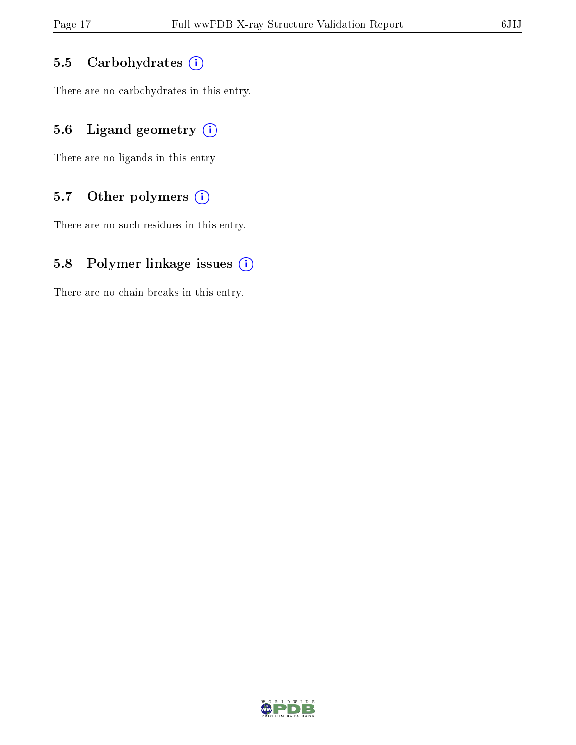#### 5.5 Carbohydrates  $(i)$

There are no carbohydrates in this entry.

## 5.6 Ligand geometry  $(i)$

There are no ligands in this entry.

## 5.7 [O](https://www.wwpdb.org/validation/2017/XrayValidationReportHelp#nonstandard_residues_and_ligands)ther polymers  $(i)$

There are no such residues in this entry.

#### 5.8 Polymer linkage issues  $(i)$

There are no chain breaks in this entry.

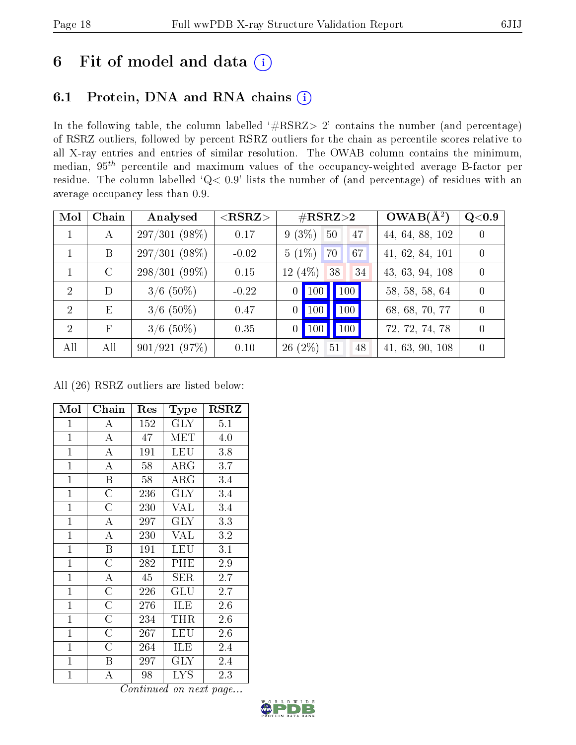# 6 Fit of model and data  $(i)$

## 6.1 Protein, DNA and RNA chains  $(i)$

In the following table, the column labelled  $#RSRZ> 2'$  contains the number (and percentage) of RSRZ outliers, followed by percent RSRZ outliers for the chain as percentile scores relative to all X-ray entries and entries of similar resolution. The OWAB column contains the minimum, median,  $95<sup>th</sup>$  percentile and maximum values of the occupancy-weighted average B-factor per residue. The column labelled ' $Q< 0.9$ ' lists the number of (and percentage) of residues with an average occupancy less than 0.9.

| Mol           | Chain         | Analysed        | ${ <\hspace{-1.5pt}{\mathrm{RSRZ}}\hspace{-1.5pt}>}$ | $\#\text{RSRZ}{>}2$                                          | $OWAB(A^2)$     | $Q<$ 0.9 |
|---------------|---------------|-----------------|------------------------------------------------------|--------------------------------------------------------------|-----------------|----------|
|               | А             | $297/301(98\%)$ | 0.17                                                 | $9(3\%)$<br>50<br>47                                         | 44, 64, 88, 102 |          |
|               | B             | $297/301(98\%)$ | $-0.02$                                              | $5(1\%)$<br>70<br>67                                         | 41, 62, 84, 101 | $\Omega$ |
|               | $\mathcal{C}$ | $298/301(99\%)$ | 0.15                                                 | $12(4\%)$<br>38<br>34                                        | 43, 63, 94, 108 |          |
| 2             | D             | $3/6$ (50%)     | $-0.22$                                              | $\vert$ 100 $\vert$<br>$\vert$ 100 $\vert$<br>$\overline{0}$ | 58, 58, 58, 64  |          |
| $\mathcal{D}$ | E             | $3/6$ (50%)     | 0.47                                                 | 100<br>$\vert$ 100 $\vert$<br>$\overline{0}$                 | 68, 68, 70, 77  |          |
| $\mathcal{D}$ | F             | $3/6$ (50%)     | 0.35                                                 | 100<br>$\vert$ 100<br>0 <sup>1</sup>                         | 72, 72, 74, 78  | $\Omega$ |
| All           | All           | 901/921(97%)    | 0.10                                                 | $(2\%)$<br>51<br>48<br>26                                    | 41, 63, 90, 108 |          |

All (26) RSRZ outliers are listed below:

| Mol            | Chain              | $\operatorname{Res}% \left( \mathcal{N}\right) \equiv\operatorname{Res}(\mathcal{N}_{0})\cap\mathcal{N}_{1}$ | Type                    | <b>RSRZ</b>      |
|----------------|--------------------|--------------------------------------------------------------------------------------------------------------|-------------------------|------------------|
| $\overline{1}$ | А                  | 152                                                                                                          | <b>GLY</b>              | 5.1              |
| $\mathbf{1}$   | $\boldsymbol{A}$   | 47                                                                                                           | <b>MET</b>              | 4.0              |
| $\mathbf{1}$   | $\overline{\rm A}$ | 191                                                                                                          | <b>LEU</b>              | 3.8              |
| $\overline{1}$ | $\boldsymbol{A}$   | 58                                                                                                           | $\rm{ARG}$              | 3.7              |
| $\mathbf{1}$   | B                  | 58                                                                                                           | $\overline{\text{ARG}}$ | 3.4              |
| $\mathbf{1}$   | $\overline{\rm C}$ | 236                                                                                                          | <b>GLY</b>              | 3.4              |
| $\overline{1}$ | $\overline{\rm C}$ | 230                                                                                                          | $\overline{\text{VAL}}$ | 3.4              |
| $\overline{1}$ | A                  | 297                                                                                                          | <b>GLY</b>              | 3.3              |
| $\mathbf{1}$   | A                  | 230                                                                                                          | <b>VAL</b>              | 3.2              |
| $\mathbf{1}$   | $\boldsymbol{B}$   | 191                                                                                                          | LEU                     | $3.\overline{1}$ |
| $\mathbf{1}$   | $\overline{\rm C}$ | 282                                                                                                          | PHE                     | 2.9              |
| $\overline{1}$ | $\overline{\rm A}$ | 45                                                                                                           | SER                     | 2.7              |
| $\overline{1}$ | $\overline{C}$     | 226                                                                                                          | $\operatorname{GLU}$    | 2.7              |
| $\mathbf{1}$   | $\overline{\rm C}$ | 276                                                                                                          | <b>ILE</b>              | 2.6              |
| $\mathbf{1}$   | $\overline{\rm C}$ | 234                                                                                                          | THR                     | 2.6              |
| $\mathbf{1}$   | $\overline{\rm C}$ | 267                                                                                                          | <b>LEU</b>              | 2.6              |
| $\mathbf{1}$   | $\overline{C}$     | 264                                                                                                          | ILE                     | 2.4              |
| $\mathbf{1}$   | Β                  | 297                                                                                                          | GLY                     | 2.4              |
| $\mathbf{1}$   | А                  | 98                                                                                                           | <b>LYS</b>              | 2.3              |